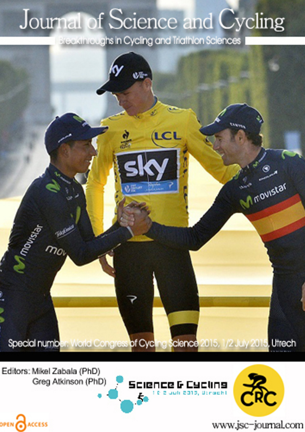# Journal of Science and Cycling

Breakthroughs in Cycling and Triathlon Sciences



Editors: Mikel Zabala (PhD) Greg Atkinson (PhD)

OPEN CACCESS





www.jsc-journal.com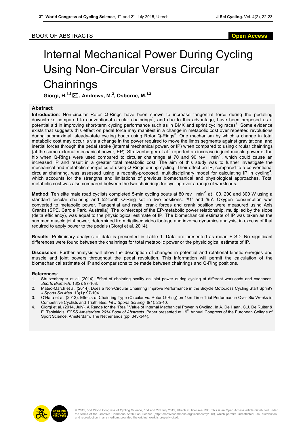## Internal Mechanical Power During Cycling Using Non-Circular Versus Circular **Chainrings**

**Giorgi, H.1,2**\***, Andrews, M.<sup>2</sup> , Osborne, M.1,2**

#### **Abstract**

**Introduction**: Non-circular Rotor Q-Rings have been shown to increase tangential force during the pedalling downstroke compared to conventional circular chainrings<sup>1</sup>, and due to this advantage, have been proposed as a potential aid in improving short-term cycling performance such as in BMX and sprint cycling races<sup>2</sup>. Some evidence exists that suggests this effect on pedal force may manifest in a change in metabolic cost over repeated revolutions during submaximal, steady-state cycling bouts using Rotor Q-Rings<sup>3</sup>. One mechanism by which a change in total metabolic cost may occur is via a change in the power required to move the limbs segments against gravitational and inertial forces through the pedal stroke (internal mechanical power, or IP) when compared to using circular chainrings (at the same external mechanical power, EP). Strutzenberger et al.<sup>1</sup> reported an increase in joint muscle power of the hip when Q-Rings were used compared to circular chainrings at 70 and 90 rev  $\cdot$  min<sup>-1</sup>, which could cause an increased IP and result in a greater total metabolic cost. The aim of this study was to further investigate the mechanical and metabolic energetics of using Q-Rings during cycling. Their effect on IP, compared to a conventional circular chainring, was assessed using a recently-proposed, multidisciplinary model for calculating IP in cycling<sup>4</sup>, which accounts for the strengths and limitations of previous biomechanical and physiological approaches. Total metabolic cost was also compared between the two chainrings for cycling over a range of workloads.

**Method**: Ten elite male road cyclists completed 5-min cycling bouts at 80 rev · min-1 at 100, 200 and 300 W using a standard circular chainring and 52-tooth Q-Ring set in two positions: '#1' and '#5'. Oxygen consumption was converted to metabolic power. Tangential and radial crank forces and crank position were measured using Axis Cranks (SPE, Carole Park, Australia). The x-intercept of the EP-metabolic power relationship, multiplied by the slope (delta efficiency), was equal to the physiological estimate of IP. The biomechanical estimate of IP was taken as the summed muscle joint power, determined from digitised video footage and inverse dynamics analysis, in excess of that required to apply power to the pedals (Giorgi et al. 2014).

**Results**: Preliminary analysis of data is presented in Table 1. Data are presented as mean ± SD. No significant differences were found between the chainrings for total metabolic power or the physiological estimate of IP.

**Discussion**: Further analysis will allow the description of changes in potential and rotational kinetic energies and muscle and joint powers throughout the pedal revolution. This information will permit the calculation of the biomechanical estimate of IP and comparisons to be made between chainrings and Q-Ring positions.

#### **References**:

- Strutzenberger et al. (2014). Effect of chainring ovality on joint power during cycling at different workloads and cadences. *Sports Biomech*. 13(2): 97-108.
- 2. Mateo-March et al. (2014). Does a Non-Circular Chainring Improve Performance in the Bicycle Motocross Cycling Start Sprint? *J Sports Sci Med*. 13(1): 97-104.
- 3. O'Hara et al. (2012). Effects of Chainring Type (Circular vs. Rotor Q-Ring) on 1km Time Trial Performance Over Six Weeks in Competitive Cyclists and Triathletes. *Int J Sports Sci Eng*. 6(1): 25-40.
- 4. Giorgi et al. (2014, July). A Range for the "Real" Value of Internal Mechanical Power in Cycling. In A. De Haan, C.J. De Ruiter & E. Tsolakidis. *ECSS Amsterdam 2014 Book of Abstracts*. Paper presented at 19<sup>th</sup> Annual Congress of the European College of Sport Science, Amsterdam, The Netherlands (pp. 343-344).